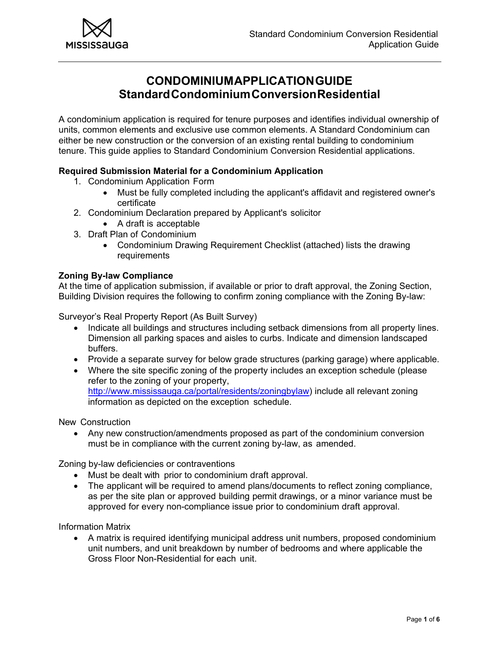

# **CONDOMINIUM APPLICATION GUIDE Standard Condominium Conversion Residential**

A condominium application is required for tenure purposes and identifies individual ownership of units, common elements and exclusive use common elements. A Standard Condominium can either be new construction or the conversion of an existing rental building to condominium tenure. This guide applies to Standard Condominium Conversion Residential applications.

# **Required Submission Material for a Condominium Application**

- 1. Condominium Application Form
	- Must be fully completed including the applicant's affidavit and registered owner's certificate
- 2. Condominium Declaration prepared by Applicant's solicitor
	- A draft is acceptable
- 3. Draft Plan of Condominium
	- Condominium Drawing Requirement Checklist (attached) lists the drawing requirements

# **Zoning By-law Compliance**

At the time of application submission, if available or prior to draft approval, the Zoning Section, Building Division requires the following to confirm zoning compliance with the Zoning By-law:

Surveyor's Real Property Report (As Built Survey)

- Indicate all buildings and structures including setback dimensions from all property lines. Dimension all parking spaces and aisles to curbs. Indicate and dimension landscaped buffers.
- Provide a separate survey for below grade structures (parking garage) where applicable.
- Where the site specific zoning of the property includes an exception schedule (please refer to the zoning of your property, http://www.mississauga.ca/portal/residents/zoningbylaw) include all relevant zoning information as depicted on the exception schedule.

New Construction

 Any new construction/amendments proposed as part of the condominium conversion must be in compliance with the current zoning by-law, as amended.

Zoning by-law deficiencies or contraventions

- Must be dealt with prior to condominium draft approval.
- The applicant will be required to amend plans/documents to reflect zoning compliance, as per the site plan or approved building permit drawings, or a minor variance must be approved for every non-compliance issue prior to condominium draft approval.

Information Matrix

 A matrix is required identifying municipal address unit numbers, proposed condominium unit numbers, and unit breakdown by number of bedrooms and where applicable the Gross Floor Non-Residential for each unit.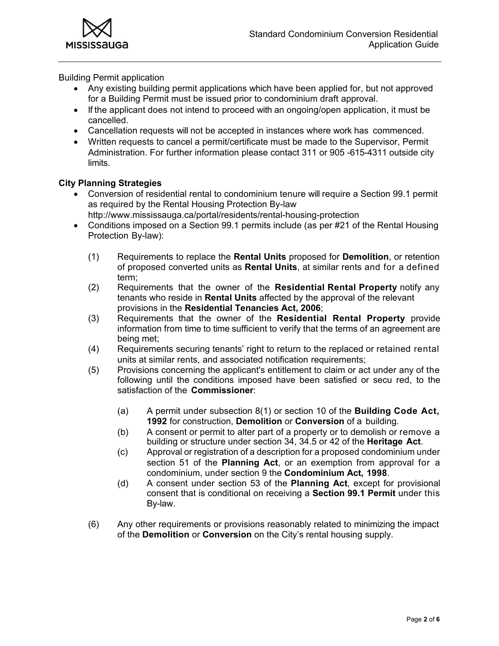**MISSIS** auga

Building Permit application

- Any existing building permit applications which have been applied for, but not approved for a Building Permit must be issued prior to condominium draft approval.
- If the applicant does not intend to proceed with an ongoing/open application, it must be cancelled.
- Cancellation requests will not be accepted in instances where work has commenced.
- Written requests to cancel a permit/certificate must be made to the Supervisor, Permit Administration. For further information please contact 311 or 905 -615-4311 outside city limits.

# **City Planning Strategies**

- Conversion of residential rental to condominium tenure will require a Section 99.1 permit as required by the Rental Housing Protection By-law
- http://www.mississauga.ca/portal/residents/rental-housing-protection
- Conditions imposed on a Section 99.1 permits include (as per #21 of the Rental Housing Protection By-law):
	- (1) Requirements to replace the **Rental Units** proposed for **Demolition**, or retention of proposed converted units as **Rental Units**, at similar rents and for a defined term;
	- (2) Requirements that the owner of the **Residential Rental Property** notify any tenants who reside in **Rental Units** affected by the approval of the relevant provisions in the **Residential Tenancies Act, 2006**;
	- (3) Requirements that the owner of the **Residential Rental Property** provide information from time to time sufficient to verify that the terms of an agreement are being met;
	- (4) Requirements securing tenants' right to return to the replaced or retained rental units at similar rents, and associated notification requirements;
	- (5) Provisions concerning the applicant's entitlement to claim or act under any of the following until the conditions imposed have been satisfied or secu red, to the satisfaction of the **Commissioner**:
		- (a) A permit under subsection 8(1) or section 10 of the **Building Code Act, 1992** for construction, **Demolition** or **Conversion** of a building.
		- (b) A consent or permit to alter part of a property or to demolish or remove a building or structure under section 34, 34.5 or 42 of the **Heritage Act**.
		- (c) Approval or registration of a description for a proposed condominium under section 51 of the **Planning Act**, or an exemption from approval for a condominium, under section 9 the **Condominium Act, 1998**.
		- (d) A consent under section 53 of the **Planning Act**, except for provisional consent that is conditional on receiving a **Section 99.1 Permit** under this By-law.
	- (6) Any other requirements or provisions reasonably related to minimizing the impact of the **Demolition** or **Conversion** on the City's rental housing supply.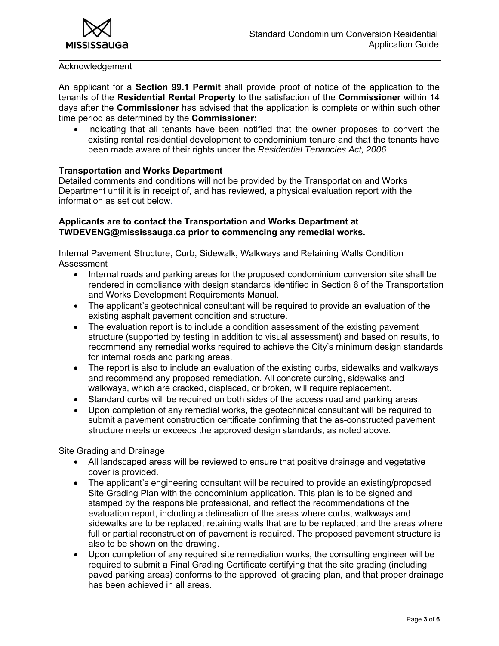

#### Acknowledgement

An applicant for a **Section 99.1 Permit** shall provide proof of notice of the application to the tenants of the **Residential Rental Property** to the satisfaction of the **Commissioner** within 14 days after the **Commissioner** has advised that the application is complete or within such other time period as determined by the **Commissioner:** 

 indicating that all tenants have been notified that the owner proposes to convert the existing rental residential development to condominium tenure and that the tenants have been made aware of their rights under the *Residential Tenancies Act, 2006* 

### **Transportation and Works Department**

Detailed comments and conditions will not be provided by the Transportation and Works Department until it is in receipt of, and has reviewed, a physical evaluation report with the information as set out below.

## **Applicants are to contact the Transportation and Works Department at TWDEVENG@mississauga.ca prior to commencing any remedial works.**

Internal Pavement Structure, Curb, Sidewalk, Walkways and Retaining Walls Condition Assessment

- Internal roads and parking areas for the proposed condominium conversion site shall be rendered in compliance with design standards identified in Section 6 of the Transportation and Works Development Requirements Manual.
- The applicant's geotechnical consultant will be required to provide an evaluation of the existing asphalt pavement condition and structure.
- The evaluation report is to include a condition assessment of the existing pavement structure (supported by testing in addition to visual assessment) and based on results, to recommend any remedial works required to achieve the City's minimum design standards for internal roads and parking areas.
- The report is also to include an evaluation of the existing curbs, sidewalks and walkways and recommend any proposed remediation. All concrete curbing, sidewalks and walkways, which are cracked, displaced, or broken, will require replacement.
- Standard curbs will be required on both sides of the access road and parking areas.
- Upon completion of any remedial works, the geotechnical consultant will be required to submit a pavement construction certificate confirming that the as-constructed pavement structure meets or exceeds the approved design standards, as noted above.

Site Grading and Drainage

- All landscaped areas will be reviewed to ensure that positive drainage and vegetative cover is provided.
- The applicant's engineering consultant will be required to provide an existing/proposed Site Grading Plan with the condominium application. This plan is to be signed and stamped by the responsible professional, and reflect the recommendations of the evaluation report, including a delineation of the areas where curbs, walkways and sidewalks are to be replaced; retaining walls that are to be replaced; and the areas where full or partial reconstruction of pavement is required. The proposed pavement structure is also to be shown on the drawing.
- Upon completion of any required site remediation works, the consulting engineer will be required to submit a Final Grading Certificate certifying that the site grading (including paved parking areas) conforms to the approved lot grading plan, and that proper drainage has been achieved in all areas.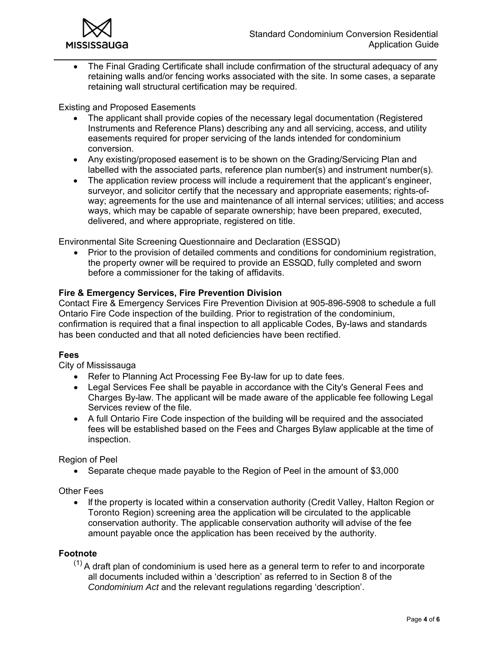

 The Final Grading Certificate shall include confirmation of the structural adequacy of any retaining walls and/or fencing works associated with the site. In some cases, a separate retaining wall structural certification may be required.

Existing and Proposed Easements

- The applicant shall provide copies of the necessary legal documentation (Registered Instruments and Reference Plans) describing any and all servicing, access, and utility easements required for proper servicing of the lands intended for condominium conversion.
- Any existing/proposed easement is to be shown on the Grading/Servicing Plan and labelled with the associated parts, reference plan number(s) and instrument number(s).
- The application review process will include a requirement that the applicant's engineer, surveyor, and solicitor certify that the necessary and appropriate easements; rights-ofway; agreements for the use and maintenance of all internal services; utilities; and access ways, which may be capable of separate ownership; have been prepared, executed, delivered, and where appropriate, registered on title.

Environmental Site Screening Questionnaire and Declaration (ESSQD)

 Prior to the provision of detailed comments and conditions for condominium registration, the property owner will be required to provide an ESSQD, fully completed and sworn before a commissioner for the taking of affidavits.

# **Fire & Emergency Services, Fire Prevention Division**

Contact Fire & Emergency Services Fire Prevention Division at 905-896-5908 to schedule a full Ontario Fire Code inspection of the building. Prior to registration of the condominium, confirmation is required that a final inspection to all applicable Codes, By-laws and standards has been conducted and that all noted deficiencies have been rectified.

### **Fees**

City of Mississauga

- Refer to Planning Act Processing Fee By-law for up to date fees.
- Legal Services Fee shall be payable in accordance with the City's General Fees and Charges By-law. The applicant will be made aware of the applicable fee following Legal Services review of the file.
- A full Ontario Fire Code inspection of the building will be required and the associated fees will be established based on the Fees and Charges Bylaw applicable at the time of inspection.

Region of Peel

• Separate cheque made payable to the Region of Peel in the amount of \$3,000

Other Fees

• If the property is located within a conservation authority (Credit Valley, Halton Region or Toronto Region) screening area the application will be circulated to the applicable conservation authority. The applicable conservation authority will advise of the fee amount payable once the application has been received by the authority.

## **Footnote**

 $(1)$  A draft plan of condominium is used here as a general term to refer to and incorporate all documents included within a 'description' as referred to in Section 8 of the *Condominium Act* and the relevant regulations regarding 'description'.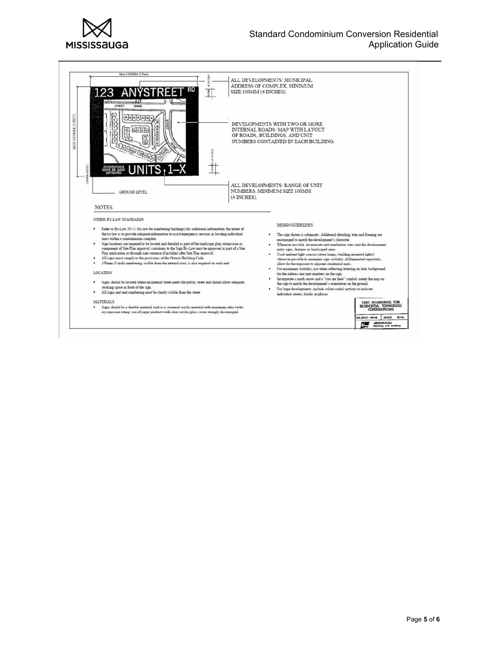

### Standard Condominium Conversion Residential Application Guide